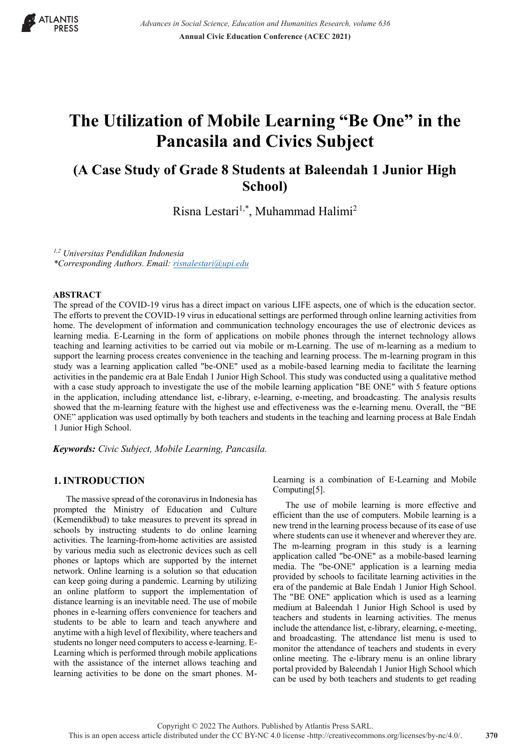

# **The Utilization of Mobile Learning "Be One" in the Pancasila and Civics Subject**

# **(A Case Study of Grade 8 Students at Baleendah 1 Junior High School)**

Risna Lestari<sup>1,\*</sup>, Muhammad Halimi<sup>2</sup>

*1,2 Universitas Pendidikan Indonesia \*Corresponding Authors. Email: risnalestari@upi.edu*

#### **ABSTRACT**

The spread of the COVID-19 virus has a direct impact on various LIFE aspects, one of which is the education sector. The efforts to prevent the COVID-19 virus in educational settings are performed through online learning activities from home. The development of information and communication technology encourages the use of electronic devices as learning media. E-Learning in the form of applications on mobile phones through the internet technology allows teaching and learning activities to be carried out via mobile or m-Learning. The use of m-learning as a medium to support the learning process creates convenience in the teaching and learning process. The m-learning program in this study was a learning application called "be-ONE" used as a mobile-based learning media to facilitate the learning activities in the pandemic era at Bale Endah 1 Junior High School. This study was conducted using a qualitative method with a case study approach to investigate the use of the mobile learning application "BE ONE" with 5 feature options in the application, including attendance list, e-library, e-learning, e-meeting, and broadcasting. The analysis results showed that the m-learning feature with the highest use and effectiveness was the e-learning menu. Overall, the "BE ONE" application was used optimally by both teachers and students in the teaching and learning process at Bale Endah 1 Junior High School.

*Keywords: Civic Subject, Mobile Learning, Pancasila.*

# **1.INTRODUCTION**

The massive spread of the coronavirus in Indonesia has prompted the Ministry of Education and Culture (Kemendikbud) to take measures to prevent its spread in schools by instructing students to do online learning activities. The learning-from-home activities are assisted by various media such as electronic devices such as cell phones or laptops which are supported by the internet network. Online learning is a solution so that education can keep going during a pandemic. Learning by utilizing an online platform to support the implementation of distance learning is an inevitable need. The use of mobile phones in e-learning offers convenience for teachers and students to be able to learn and teach anywhere and anytime with a high level of flexibility, where teachers and students no longer need computers to access e-learning. E-Learning which is performed through mobile applications with the assistance of the internet allows teaching and learning activities to be done on the smart phones. M-

Learning is a combination of E-Learning and Mobile Computing[5].

The use of mobile learning is more effective and efficient than the use of computers. Mobile learning is a new trend in the learning process because of its ease of use where students can use it whenever and wherever they are. The m-learning program in this study is a learning application called "be-ONE" as a mobile-based learning media. The "be-ONE" application is a learning media provided by schools to facilitate learning activities in the era of the pandemic at Bale Endah 1 Junior High School. The "BE ONE" application which is used as a learning medium at Baleendah 1 Junior High School is used by teachers and students in learning activities. The menus include the attendance list, e-library, elearning, e-meeting, and broadcasting. The attendance list menu is used to monitor the attendance of teachers and students in every online meeting. The e-library menu is an online library portal provided by Baleendah 1 Junior High School which can be used by both teachers and students to get reading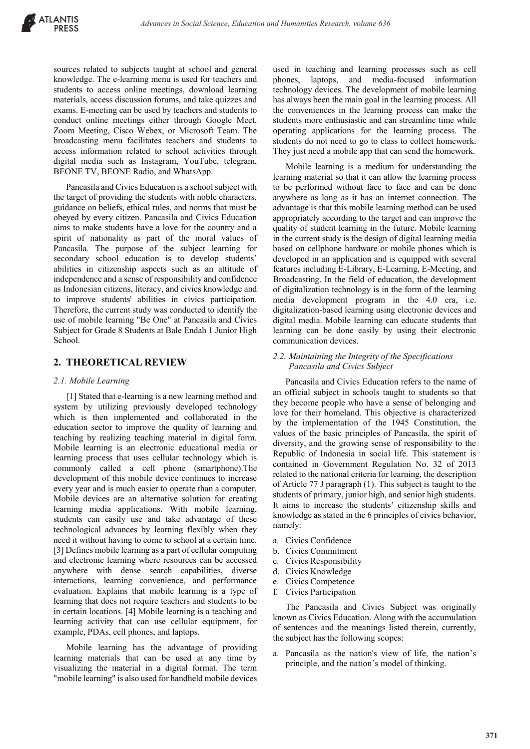sources related to subjects taught at school and general knowledge. The e-learning menu is used for teachers and students to access online meetings, download learning materials, access discussion forums, and take quizzes and exams. E-meeting can be used by teachers and students to conduct online meetings either through Google Meet, Zoom Meeting, Cisco Webex, or Microsoft Team. The broadcasting menu facilitates teachers and students to access information related to school activities through digital media such as Instagram, YouTube, telegram, BEONE TV, BEONE Radio, and WhatsApp.

Pancasila and Civics Education is a school subject with the target of providing the students with noble characters, guidance on beliefs, ethical rules, and norms that must be obeyed by every citizen. Pancasila and Civics Education aims to make students have a love for the country and a spirit of nationality as part of the moral values of Pancasila. The purpose of the subject learning for secondary school education is to develop students' abilities in citizenship aspects such as an attitude of independence and a sense of responsibility and confidence as Indonesian citizens, literacy, and civics knowledge and to improve students' abilities in civics participation. Therefore, the current study was conducted to identify the use of mobile learning "Be One" at Pancasila and Civics Subject for Grade 8 Students at Bale Endah 1 Junior High School.

# **2. THEORETICAL REVIEW**

#### *2.1. Mobile Learning*

[1] Stated that e-learning is a new learning method and system by utilizing previously developed technology which is then implemented and collaborated in the education sector to improve the quality of learning and teaching by realizing teaching material in digital form. Mobile learning is an electronic educational media or learning process that uses cellular technology which is commonly called a cell phone (smartphone).The development of this mobile device continues to increase every year and is much easier to operate than a computer. Mobile devices are an alternative solution for creating learning media applications. With mobile learning, students can easily use and take advantage of these technological advances by learning flexibly when they need it without having to come to school at a certain time. [3] Defines mobile learning as a part of cellular computing and electronic learning where resources can be accessed anywhere with dense search capabilities, diverse interactions, learning convenience, and performance evaluation. Explains that mobile learning is a type of learning that does not require teachers and students to be in certain locations. [4] Mobile learning is a teaching and learning activity that can use cellular equipment, for example, PDAs, cell phones, and laptops.

Mobile learning has the advantage of providing learning materials that can be used at any time by visualizing the material in a digital format. The term "mobile learning" is also used for handheld mobile devices

used in teaching and learning processes such as cell phones, laptops, and media-focused information technology devices. The development of mobile learning has always been the main goal in the learning process. All the conveniences in the learning process can make the students more enthusiastic and can streamline time while operating applications for the learning process. The students do not need to go to class to collect homework. They just need a mobile app that can send the homework.

Mobile learning is a medium for understanding the learning material so that it can allow the learning process to be performed without face to face and can be done anywhere as long as it has an internet connection. The advantage is that this mobile learning method can be used appropriately according to the target and can improve the quality of student learning in the future. Mobile learning in the current study is the design of digital learning media based on cellphone hardware or mobile phones which is developed in an application and is equipped with several features including E-Library, E-Learning, E-Meeting, and Broadcasting. In the field of education, the development of digitalization technology is in the form of the learning media development program in the 4.0 era, i.e. digitalization-based learning using electronic devices and digital media. Mobile learning can educate students that learning can be done easily by using their electronic communication devices.

#### *2.2. Maintaining the Integrity of the Specifications Pancasila and Civics Subject*

Pancasila and Civics Education refers to the name of an official subject in schools taught to students so that they become people who have a sense of belonging and love for their homeland. This objective is characterized by the implementation of the 1945 Constitution, the values of the basic principles of Pancasila, the spirit of diversity, and the growing sense of responsibility to the Republic of Indonesia in social life. This statement is contained in Government Regulation No. 32 of 2013 related to the national criteria for learning, the description of Article 77 J paragraph (1). This subject is taught to the students of primary, junior high, and senior high students. It aims to increase the students' citizenship skills and knowledge as stated in the 6 principles of civics behavior, namely:

- a. Civics Confidence
- b. Civics Commitment
- c. Civics Responsibility
- d. Civics Knowledge
- e. Civics Competence
- f. Civics Participation

The Pancasila and Civics Subject was originally known as Civics Education. Along with the accumulation of sentences and the meanings listed therein, currently, the subject has the following scopes:

a. Pancasila as the nation's view of life, the nation's principle, and the nation's model of thinking.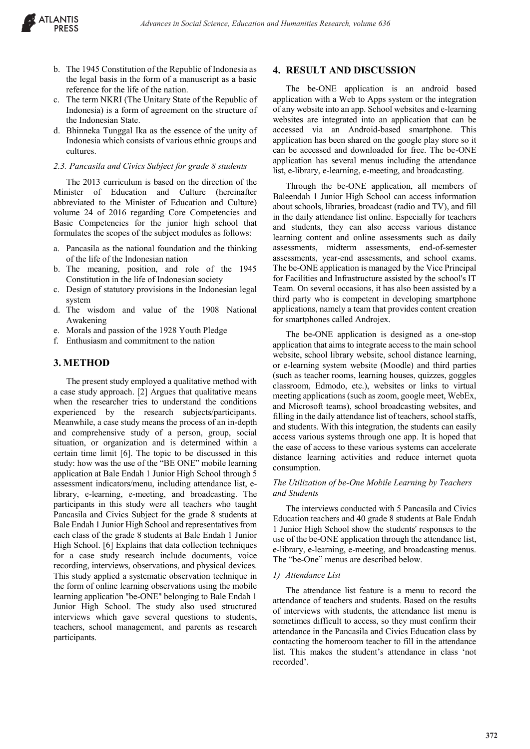

- b. The 1945 Constitution of the Republic of Indonesia as the legal basis in the form of a manuscript as a basic reference for the life of the nation.
- c. The term NKRI (The Unitary State of the Republic of Indonesia) is a form of agreement on the structure of the Indonesian State.
- d. Bhinneka Tunggal Ika as the essence of the unity of Indonesia which consists of various ethnic groups and cultures.

#### *2.3. Pancasila and Civics Subject for grade 8 students*

The 2013 curriculum is based on the direction of the Minister of Education and Culture (hereinafter abbreviated to the Minister of Education and Culture) volume 24 of 2016 regarding Core Competencies and Basic Competencies for the junior high school that formulates the scopes of the subject modules as follows:

- a. Pancasila as the national foundation and the thinking of the life of the Indonesian nation
- b. The meaning, position, and role of the 1945 Constitution in the life of Indonesian society
- c. Design of statutory provisions in the Indonesian legal system
- d. The wisdom and value of the 1908 National Awakening
- e. Morals and passion of the 1928 Youth Pledge
- f. Enthusiasm and commitment to the nation

## **3. METHOD**

The present study employed a qualitative method with a case study approach. [2] Argues that qualitative means when the researcher tries to understand the conditions experienced by the research subjects/participants. Meanwhile, a case study means the process of an in-depth and comprehensive study of a person, group, social situation, or organization and is determined within a certain time limit [6]. The topic to be discussed in this study: how was the use of the "BE ONE" mobile learning application at Bale Endah 1 Junior High School through 5 assessment indicators/menu, including attendance list, elibrary, e-learning, e-meeting, and broadcasting. The participants in this study were all teachers who taught Pancasila and Civics Subject for the grade 8 students at Bale Endah 1 Junior High School and representatives from each class of the grade 8 students at Bale Endah 1 Junior High School. [6] Explains that data collection techniques for a case study research include documents, voice recording, interviews, observations, and physical devices. This study applied a systematic observation technique in the form of online learning observations using the mobile learning application "be-ONE" belonging to Bale Endah 1 Junior High School. The study also used structured interviews which gave several questions to students, teachers, school management, and parents as research participants.

# **4. RESULT AND DISCUSSION**

The be-ONE application is an android based application with a Web to Apps system or the integration of any website into an app. School websites and e-learning websites are integrated into an application that can be accessed via an Android-based smartphone. This application has been shared on the google play store so it can be accessed and downloaded for free. The be-ONE application has several menus including the attendance list, e-library, e-learning, e-meeting, and broadcasting.

Through the be-ONE application, all members of Baleendah 1 Junior High School can access information about schools, libraries, broadcast (radio and TV), and fill in the daily attendance list online. Especially for teachers and students, they can also access various distance learning content and online assessments such as daily assessments, midterm assessments, end-of-semester assessments, year-end assessments, and school exams. The be-ONE application is managed by the Vice Principal for Facilities and Infrastructure assisted by the school's IT Team. On several occasions, it has also been assisted by a third party who is competent in developing smartphone applications, namely a team that provides content creation for smartphones called Androjex.

The be-ONE application is designed as a one-stop application that aims to integrate access to the main school website, school library website, school distance learning, or e-learning system website (Moodle) and third parties (such as teacher rooms, learning houses, quizzes, goggles classroom, Edmodo, etc.), websites or links to virtual meeting applications (such as zoom, google meet, WebEx, and Microsoft teams), school broadcasting websites, and filling in the daily attendance list of teachers, school staffs, and students. With this integration, the students can easily access various systems through one app. It is hoped that the ease of access to these various systems can accelerate distance learning activities and reduce internet quota consumption.

## *The Utilization of be-One Mobile Learning by Teachers and Students*

The interviews conducted with 5 Pancasila and Civics Education teachers and 40 grade 8 students at Bale Endah 1 Junior High School show the students' responses to the use of the be-ONE application through the attendance list, e-library, e-learning, e-meeting, and broadcasting menus. The "be-One" menus are described below.

#### *1) Attendance List*

The attendance list feature is a menu to record the attendance of teachers and students. Based on the results of interviews with students, the attendance list menu is sometimes difficult to access, so they must confirm their attendance in the Pancasila and Civics Education class by contacting the homeroom teacher to fill in the attendance list. This makes the student's attendance in class 'not recorded'.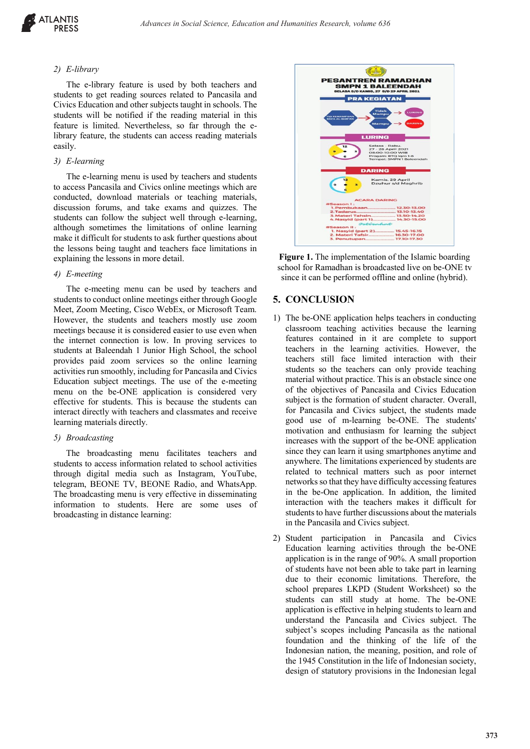#### *2) E-library*

The e-library feature is used by both teachers and students to get reading sources related to Pancasila and Civics Education and other subjects taught in schools. The students will be notified if the reading material in this feature is limited. Nevertheless, so far through the elibrary feature, the students can access reading materials easily.

#### *3) E-learning*

The e-learning menu is used by teachers and students to access Pancasila and Civics online meetings which are conducted, download materials or teaching materials, discussion forums, and take exams and quizzes. The students can follow the subject well through e-learning, although sometimes the limitations of online learning make it difficult for students to ask further questions about the lessons being taught and teachers face limitations in explaining the lessons in more detail.

#### *4) E-meeting*

The e-meeting menu can be used by teachers and students to conduct online meetings either through Google Meet, Zoom Meeting, Cisco WebEx, or Microsoft Team. However, the students and teachers mostly use zoom meetings because it is considered easier to use even when the internet connection is low. In proving services to students at Baleendah 1 Junior High School, the school provides paid zoom services so the online learning activities run smoothly, including for Pancasila and Civics Education subject meetings. The use of the e-meeting menu on the be-ONE application is considered very effective for students. This is because the students can interact directly with teachers and classmates and receive learning materials directly.

#### *5) Broadcasting*

The broadcasting menu facilitates teachers and students to access information related to school activities through digital media such as Instagram, YouTube, telegram, BEONE TV, BEONE Radio, and WhatsApp. The broadcasting menu is very effective in disseminating information to students. Here are some uses of broadcasting in distance learning:



**Figure 1.** The implementation of the Islamic boarding school for Ramadhan is broadcasted live on be-ONE tv since it can be performed offline and online (hybrid).

# **5. CONCLUSION**

- 1) The be-ONE application helps teachers in conducting classroom teaching activities because the learning features contained in it are complete to support teachers in the learning activities. However, the teachers still face limited interaction with their students so the teachers can only provide teaching material without practice. This is an obstacle since one of the objectives of Pancasila and Civics Education subject is the formation of student character. Overall, for Pancasila and Civics subject, the students made good use of m-learning be-ONE. The students' motivation and enthusiasm for learning the subject increases with the support of the be-ONE application since they can learn it using smartphones anytime and anywhere. The limitations experienced by students are related to technical matters such as poor internet networks so that they have difficulty accessing features in the be-One application. In addition, the limited interaction with the teachers makes it difficult for students to have further discussions about the materials in the Pancasila and Civics subject.
- 2) Student participation in Pancasila and Civics Education learning activities through the be-ONE application is in the range of 90%. A small proportion of students have not been able to take part in learning due to their economic limitations. Therefore, the school prepares LKPD (Student Worksheet) so the students can still study at home. The be-ONE application is effective in helping students to learn and understand the Pancasila and Civics subject. The subject's scopes including Pancasila as the national foundation and the thinking of the life of the Indonesian nation, the meaning, position, and role of the 1945 Constitution in the life of Indonesian society, design of statutory provisions in the Indonesian legal